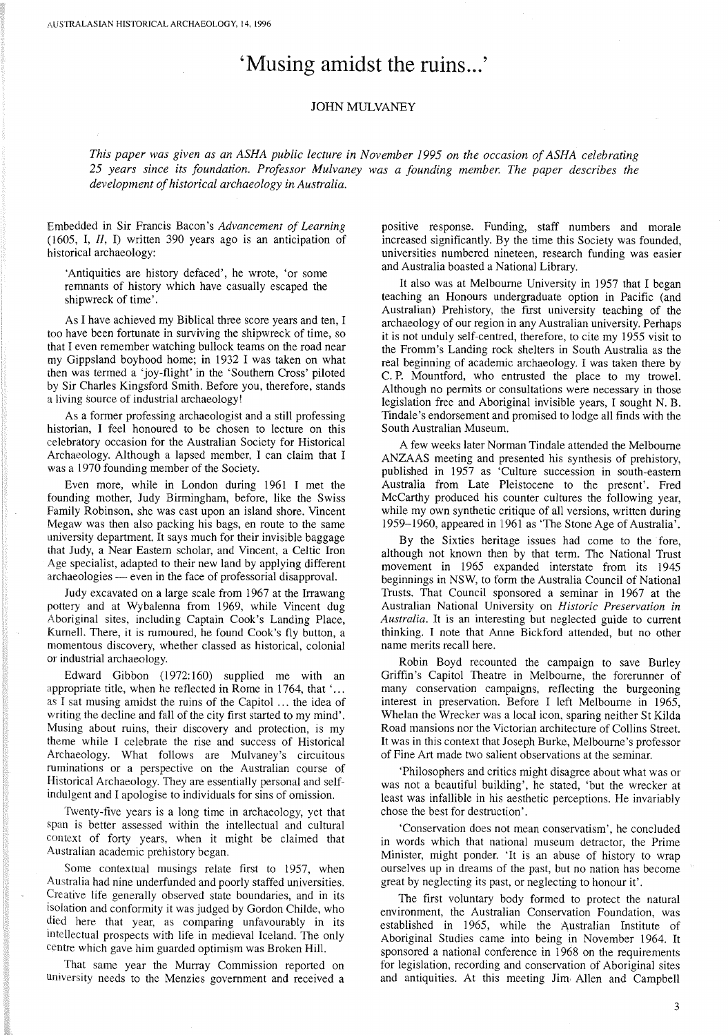## **'Musing amidst the ruins...'**

## JOHN MULVANEY

*This paper was given as an ASHA public lecture in November* 1995 *on the occasion ofASHA celebrating 25 years since its foundation, Professor Mulvaney was a founding member. The paper describes the development ofhistorical archaeology in Australia.*

Embedded in Sir Francis Bacon's *Advancement of Learning* (1605, **I,** ll, I) written 390 years ago is an anticipation of historical archaeology:

'Antiquities are history defaced', he wrote, 'or some remnants of history which have casually escaped the shipwreck of time',

As I have achieved my Biblical three score years and ten, I too have been fortunate in surviving the shipwreck of time, so that I even remember watching bullock teams on the road near my Gippsland boyhood home; in 1932 I was taken on what then was termed a 'joy-flight' in the 'Southern Cross' piloted by Sir Charles Kingsford Smith. Before you, therefore, stands a living source of industrial archaeology!

As a former professing archaeologist and a still professing historian, I feel honoured to be chosen to lecture on this celebratory occasion for the Australian Society for Historical Archaeology. Although a lapsed member, I can claim that I was a 1970 founding member of the Society.

Even more, while in London during 1961 I met the founding mother, Judy Birmingham, before, like the Swiss Family Robinson, she was cast upon an island shore. Vincent Megaw was then also packing his bags, en route to the same university department. It says much for their invisible baggage that Judy, a Near Eastern scholar, and Vincent, a Celtic Iron Age specialist, adapted to their new land by applying different archaeologies — even in the face of professorial disapproval.

Judy excavated on a large scale from 1967 at the Irrawang pottery and at Wybalenna from 1969, while Vincent dug Aboriginal sites, including Captain Cook's Landing Place, Kurnell. There, it is rumoured, he found Cook's fly button, a momentous discovery, whether classed as historical, colonial or industrial archaeology.

Edward Gibbon (1972: 160) supplied me with an appropriate title, when he reflected in Rome in 1764, that '... as I sat musing amidst the ruins of the Capitol ... the idea of writing the decline and fall of the city first started to my mind'. Musing about ruins, their discovery and protection, is my theme while I celebrate the rise and success of Historical Archaeology. What follows are Mulvaney's circuitous ruminations or a perspective on the Australian course of Historical Archaeology. They are essentially personal and selfindulgent and I apologise to individuals for sins of omission.

Twenty-five years is a long time in archaeology, yet that span is better assessed within the intellectual and cultural Context of forty years, when it might be claimed that Australian academic prehistory began.

Some contextual musings relate first to 1957, when Australia had nine underfunded and poorly staffed universities. Creative life generally observed state boundaries, and in its isolation and conformity it was judged by Gordon Childe, who died here that year, as comparing unfavourably in its intellectual prospects with life in medieval Iceland. The only centre which gave him guarded optimism was Broken Hill.

That same year the Murray Commission reported on university needs to the Menzies government and received a

positive response. Funding, staff numbers and morale increased significantly. By the time this Society was founded, universities numbered nineteen, research funding was easier and Australia boasted a National Library.

It also was at Melbourne University in 1957 that I began teaching an Honours undergraduate option in Pacific (and Australian) Prehistory, the first university teaching of the archaeology of our region in any Australian university. Perhaps it is not unduly self-centred, therefore, to cite my 1955 visit to the Fromm's Landing rock shelters in South Australia as the real beginning of academic archaeology. I was taken there by C. P. Mountford, who entrusted the place to my trowel. Although no permits or consultations were necessary in those legislation free and Aboriginal invisible years, I sought N. B. Tindale's endorsement and promised to lodge all finds with the South Australian Museum.

A few weeks later Norman Tindale attended the Melbourne ANZAAS meeting and presented his synthesis of prehistory, published in 1957 as 'Culture succession in south-eastern Australia from Late Pleistocene to the present'. Fred McCarthy produced his counter cultures the following year, while my own synthetic critique of all versions, written during 1959-1960, appeared in 1961 as 'The Stone Age of Australia'.

By the Sixties heritage issues had come to the fore, although not known then by that term. The National Trust movement in 1965 expanded interstate from its 1945 beginnings in NSW, to form the Australia Council of National Trusts. That Council sponsored a seminar in 1967 at the Australian National University on *Historic Preservation in Australia.* It is an interesting but neglected guide to current thinking. I note that Anne Bickford attended, but no other name merits recall here.

Robin Boyd recounted the campaign to save Burley Griffin's Capitol Theatre in Melbourne, the forerunner of many conservation campaigns, reflecting the burgeoning interest in preservation. Before I left Melbourne in 1965, Whelan the Wrecker was a local icon, sparing neither St Kilda Road mansions nor the Victorian architecture of Collins Street. It was in this context that Joseph Burke, Melbourne's professor of Fine Art made two salient observations at the seminar.

'Philosophers and critics might disagree about what was or was not a beautiful building', he stated, 'but the wrecker at least was infallible in his aesthetic perceptions. He invariably chose the best for destruction'.

'Conservation does not mean conservatism', he concluded in words which that national museum detractor, the Prime Minister, might ponder. 'It is an abuse of history to wrap ourselves up in dreams of the past, but no nation has become great by neglecting its past, or neglecting to honour it'.

The first voluntary body formed to protect the natural environment, the Australian Conservation Foundation, was established in 1965, while the Australian Institute of Aboriginal Studies came into being in November 1964. It sponsored a national conference in 1968 on the requirements for legislation, recording and conservation of Aboriginal sites and antiquities. At this meeting Jim Allen and Campbell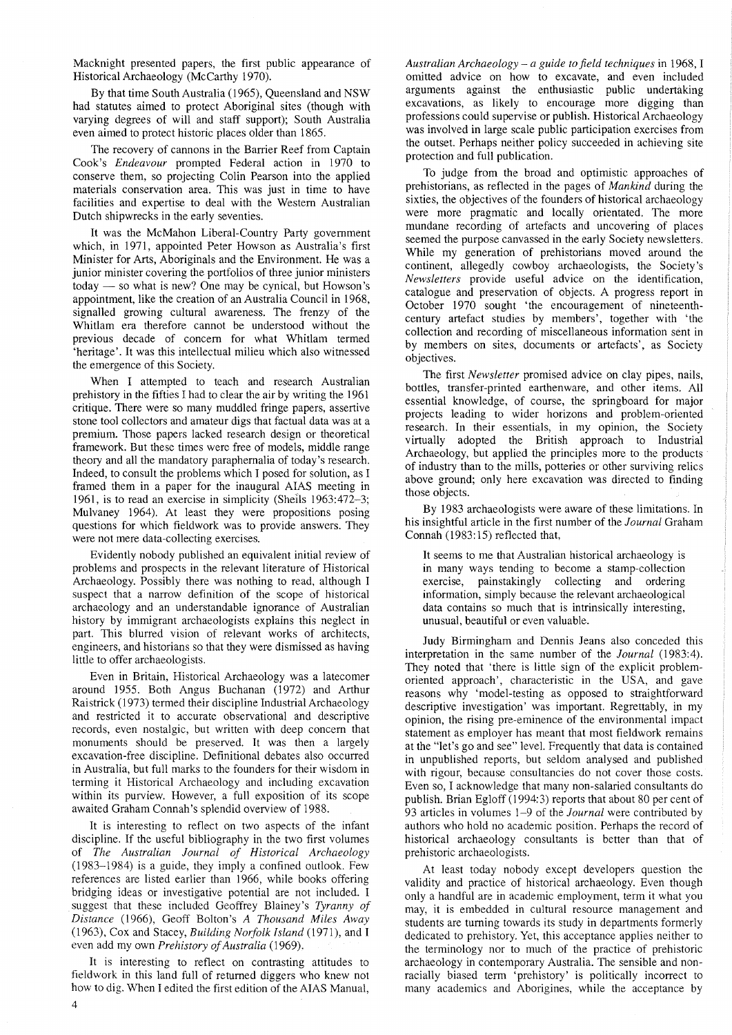Macknight presented papers, the first public appearance of Historical Archaeology (McCarthy 1970).

By that time South Australia (1965), Queensland and NSW had statutes aimed to protect Aboriginal sites (though with varying degrees of will and staff support); South Australia even aimed to protect historic places older than 1865.

The recovery of cannons in the Barrier Reef from Captain Cook's *Endeavour* prompted Federal action in 1970 to conserve them, so projecting Colin Pearson into the applied materials conservation area. This was just in time to have facilities and expertise to deal with the Western Australian Dutch shipwrecks in the early seventies.

It was the McMahon Liberal-Country Party government which, in 1971, appointed Peter Howson as Australia's first Minister for Arts, Aboriginals and the Environment. He was a junior minister covering the portfolios of three junior ministers  $today - so$  what is new? One may be cynical, but Howson's appointment, like the creation of an Australia Council in 1968, signalled growing cultural awareness. The frenzy of the Whitlam era therefore cannot be understood without the previous decade of concern for what Whitlam termed 'heritage'. It was this intellectual milieu which also witnessed the emergence of this Society.

When I attempted to teach and research Australian prehistory in the fifties I had to clear the air by writing the 1961 critique. There were so many muddled fringe papers, assertive stone tool collectors and amateur digs that factual data was at a premium. Those papers lacked research design or theoretical framework. But these times were free of models, middle range theory and all the mandatory paraphernalia of today's research. Indeed, to consult the problems which I posed for solution, as I framed them in a paper for the inaugural AlAS meeting in 1961, is to read an exercise in simplicity (Sheils 1963:472-3; Mulvaney 1964). At least they were propositions posing questions for which fieldwork was to provide answers. They were not mere data-collecting exercises.

Evidently nobody published an equivalent initial review of problems and prospects in the relevant literature of Historical Archaeology. Possibly there was nothing to read, although I suspect that a narrow definition of the scope of historical archaeology and an understandable ignorance of Australian history by immigrant archaeologists explains this neglect in part. This blurred vision of relevant works of architects, engineers, and historians so that they were dismissed as having little to offer archaeologists.

Even in Britain, Historical Archaeology was a latecomer around 1955. Both Angus Buchanan (1972) and Arthur Raistrick (1973) termed their discipline Industrial Archaeology and restricted it to accurate observational and descriptive records, even nostalgic, but written with deep concern that monuments should be preserved. It was then a largely excavation-free discipline. Definitional debates also occurred in Australia, but full marks to the founders for their wisdom in terming it Historical Archaeology and including excavation within its purview. However, a full exposition of its scope awaited Graham Connah's splendid overview of 1988.

It is interesting to reflect on two aspects of the infant discipline. If the useful bibliography in the two first volumes of *The Australian Journal of Historical Archaeology* (1983-1984) is a guide, they imply a confined outlook. Few references are listed earlier than 1966, while books offering bridging ideas or investigative potential are not included. I suggest that these included Geoffrey Blainey's *Tyranny of Distance* (1966), Geoff Bolton's *A Thousand Miles Away* (1963), Cox and Stacey, *Building Norfolk Island* (1971), and I even add my own *Prehistory of Australia* (1969).

It is interesting to reflect on contrasting attitudes to fieldwork in this land full of returned diggers who knew not how to dig. When I edited the first edition of the AlAS Manual,

*Australian Archaeology* - *a guide to field techniques* in 1968, I omitted advice on how to excavate, and even included arguments against the enthusiastic public undertaking excavations, as likely to encourage more digging than professions could supervise or publish. Historical Archaeology was involved in large scale public participation exercises from the outset. Perhaps neither policy succeeded in achieving site protection and full publication.

To judge from the broad and optimistic approaches of prehistorians, as reflected in the pages of *Mankind* during the sixties, the objectives of the founders of historical archaeology were more pragmatic and locally orientated. The more mundane recording of artefacts and uncovering of places seemed the purpose canvassed in the early Society newsletters. While my generation of prehistorians moved around the continent, allegedly cowboy archaeologists, the Society's *Newsletters* provide useful advice on the identification, catalogue and preservation of objects. A progress report in October 1970 sought 'the encouragement of nineteenthcentury artefact studies by members', together with 'the collection and recording of miscellaneous information sent in by members on sites, documents or artefacts', as Society objectives.

The first *Newsletter* promised advice on clay pipes, nails, bottles, transfer-printed earthenware, and other items. All essential knowledge, of course, the springboard for major projects leading to wider horizons and problem-oriented research. In their essentials, in my opinion, the Society virtually adopted the British approach to Industrial Archaeology, but applied the principles more to the products of industry than to the mills, potteries or other surviving relics above ground; only here excavation was directed to finding those objects.

By 1983 archaeologists were aware of these limitations. In his insightful article in the first number of the *Journal* Graham Connah (1983: 15) reflected that,

It seems to me that Australian historical archaeology is in many ways tending to become a stamp-collection exercise, painstakingly collecting and ordering information, simply because the relevant archaeological data contains so much that is intrinsically interesting, unusual, beautiful or even valuable.

Judy Birmingham and Dennis Jeans also conceded this interpretation in the same number of the *Journal (1983:4).* They noted that 'there is little sign of the explicit problemoriented approach', characteristic in the USA, and gave reasons why 'model-testing as opposed to straightforward descriptive investigation' was important. Regrettably, in my opinion, the rising pre-eminence of the environmental impact statement as employer has meant that most fieldwork remains at the "let's go and see" level. Frequently that data is contained in unpublished reports, but seldom analysed and published with rigour, because consultancies do not cover those costs. Even so, I acknowledge that many non-salaried consultants do publish. Brian Egloff (1994:3) reports that about 80 per cent of 93 articles in volumes 1-9 of the *Journal* were contributed by authors who hold no academic position. Perhaps the record of historical archaeology consultants is better than that of prehistoric archaeologists.

At least today nobody except developers question the validity and practice of historical archaeology. Even though only a handful are in academic employment, term it what you may, it is embedded in cultural resource management and students are turning towards its study in departments formerly dedicated to prehistory. Yet, this acceptance applies neither to the terminology nor to much of the practice of prehistoric archaeology in contemporary Australia. The sensible and nonracially biased term 'prehistory' is politically incorrect to many academics and Aborigines, while the acceptance by

4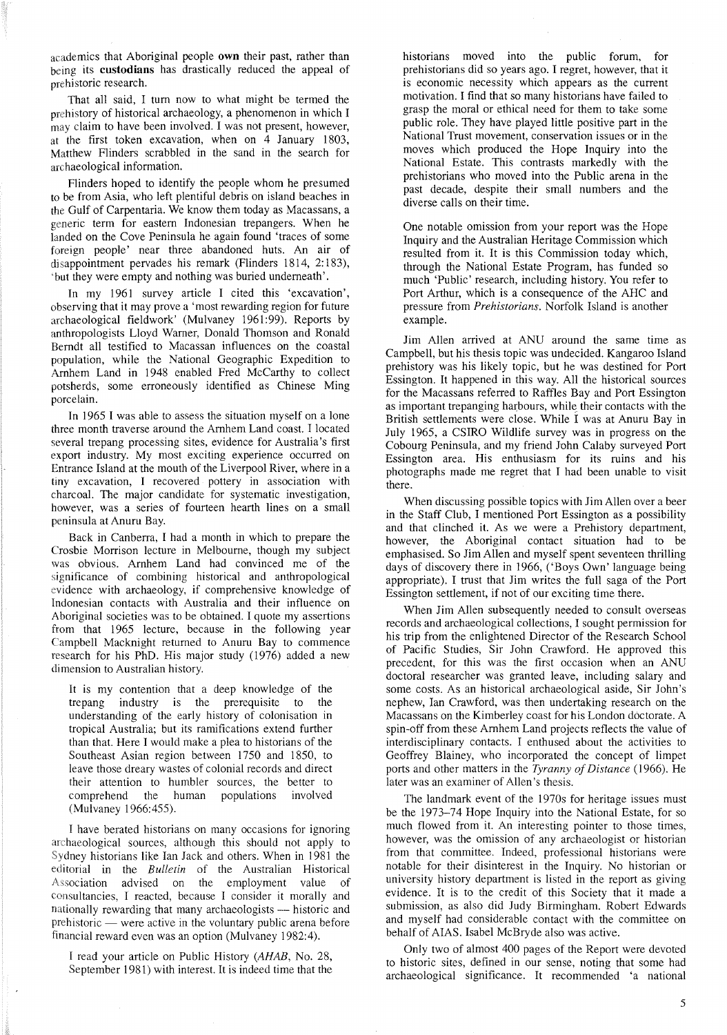academics that Aboriginal people **own** their past, rather than being its **custodians** has drastically reduced the appeal of prehistoric research.

That all said, I tum now to what might be termed the prehistory of historical archaeology, a phenomenon in which I may claim to have been involved. I was not present, however, at the first token excavation, when on 4 January 1803, Matthew Flinders scrabbled in the sand in the search for archaeological information.

Flinders hoped to identify the people whom he presumed to be from Asia, who left plentiful debris on island beaches in the Gulf of Carpentaria. We know them today as Macassans, a generic term for eastern Indonesian trepangers. When he landed on the Cove Peninsula he again found 'traces of some foreign people' near three abandoned huts. An air of disappointment pervades his remark (Flinders 1814, 2:183), 'but they were empty and nothing was buried underneath'.

In my 1961 survey article I cited this 'excavation', observing that it may prove a 'most rewarding region for future archaeological fieldwork' (Mulvaney 1961:99). Reports by anthropologists Lloyd Warner, Donald Thomson and Ronald Berndt all testified to Macassan influences on the coastal population, while the National Geographic Expedition to Arnhem Land in 1948 enabled Fred McCarthy to collect potsherds, some erroneously identified as Chinese Ming porcelain.

In 1965 I was able to assess the situation myself on a lone three month traverse around the Arnhem Land coast. I located several trepang processing sites, evidence for Australia's first export industry. My most exciting experience occurred on Entrance Island at the mouth of the Liverpool River, where in a tiny excavation, I recovered pottery in association with charcoal. The major candidate for systematic investigation, however, was a series of fourteen hearth lines on a small peninsula at Anuru Bay.

Back in Canberra, I had a month in which to prepare the Crosbie Morrison lecture in Melbourne, though my subject was obvious. Arnhem Land had convinced me of the significance of combining historical and anthropological evidence with archaeology, if comprehensive knowledge of Indonesian contacts with Australia and their influence on Aboriginal societies was to be obtained. I quote my assertions from that 1965 lecture, because in the following year Campbell Macknight returned to Anuru Bay to commence research for his PhD. His major study (1976) added a new dimension to Australian history.

It is my contention that a deep knowledge of the trepang industry is the prerequisite to the understanding of the early history of colonisation in tropical Australia; but its ramifications extend further than that. Here I would make a plea to historians of the Southeast Asian region between 1750 and 1850, to leave those dreary wastes of colonial records and direct their attention to humbler sources, the better to comprehend the human populations involved (Mulvaney 1966:455).

I have berated historians on many occasions for ignoring archaeological sources, although this should not apply to Sydney historians like Ian Jack and others. When in 1981 the editorial in the *Bulletin* of the Australian Historical Association advised on the employment value of consultancies, I reacted, because I consider it morally and nationally rewarding that many archaeologists - historic and prehistoric — were active in the voluntary public arena before financial reward even was an option (Mulvaney 1982:4).

I read your article on Public History *(AHAB,* No. 28, September 1981) with interest. It is indeed time that the historians moved into the public forum, for prehistorians did so years ago. I regret, however, that it is economic necessity which appears as the current motivation. I find that so many historians have failed to grasp the moral or ethical need for them to take some public role. They have played little positive part in the National Trust movement, conservation issues or in the moves which produced the Hope Inquiry into the National Estate. This contrasts markedly with the prehistorians who moved into the Public arena in the past decade, despite their small numbers and the diverse calls on their time.

One notable omission from your report was the Hope Inquiry and the Australian Heritage Commission which resulted from it. It is this Commission today which, through the National Estate Program, has funded so much 'Public' research, including history. You refer to Port Arthur, which is a consequence of the AHC and pressure from *Prehistorians.* Norfolk Island is another example.

Jim Allen arrived at ANU around the same time as Campbell, but his thesis topic was undecided. Kangaroo Island prehistory was his likely topic, but he was destined for Port Essington. It happened in this way. All the historical sources for the Macassans referred to Raffles Bay and Port Essington as important trepanging harbours, while their contacts with the British settlements were close. While I was at Anuru Bay in July 1965, a CSIRO Wildlife survey was in progress on the Cobourg Peninsula, and my friend John Calaby surveyed Port Essington area. His enthusiasm for its ruins and his photographs made me regret that I had been unable to visit there.

When discussing possible topics with Jim Allen over a beer in the Staff Club, I mentioned Port Essington as a possibility and that clinched it. As we were a Prehistory department, however, the Aboriginal contact situation had to be emphasised. So Jim Allen and myself spent seventeen thrilling days of discovery there in 1966, ('Boys Own' language being appropriate). I trust that Jim writes the full saga of the Port Essington settlement, if not of our exciting time there.

When Jim Allen subsequently needed to consult overseas records and archaeological collections, I sought permission for his trip from the enlightened Director of the Research School of Pacific Studies, Sir John Crawford. He approved this precedent, for this was the first occasion when an ANU doctoral researcher was granted leave, including salary and some costs. As an historical archaeological aside, Sir John's nephew, Ian Crawford, was then undertaking research on the Macassans on the Kimberley coast for his London doctorate. A spin-off from these Arnhem Land projects reflects the value of interdisciplinary contacts. I enthused about the activities to Geoffrey Blainey, who incorporated the concept of limpet ports and other matters in the *Tyranny of Distance* (1966). He later was an examiner of Allen's thesis.

The landmark event of the I970s for heritage issues must be the 1973-74 Hope Inquiry into the National Estate, for so much flowed from it. An interesting pointer to those times, however, was the omission of any archaeologist or historian from that committee. Indeed, professional historians were notable for their disinterest in the Inquiry. No historian or university history department is listed in the report as giving evidence. It is to the credit of this Society that it made a submission, as also did Judy Birmingham. Robert Edwards and myself had considerable contact with the committee on behalf of AlAS. Isabel McBryde also was active.

Only two of almost 400 pages of the Report were devoted to historic sites, defined in our sense, noting that some had archaeological significance. It recommended 'a national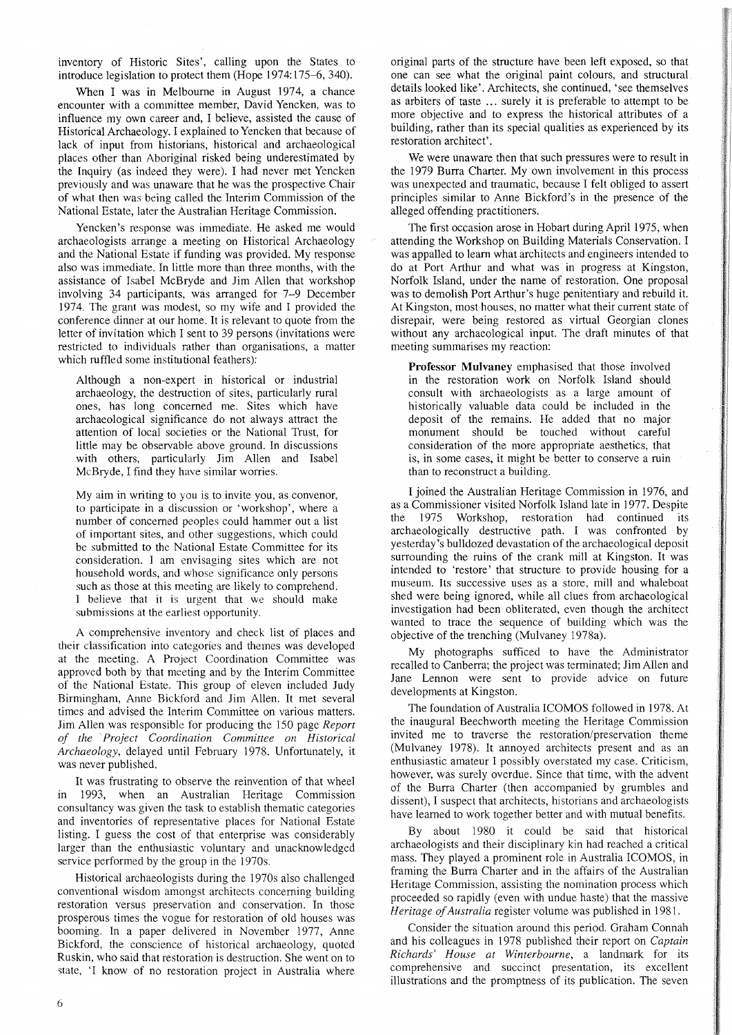inventory of Historic Sites', calling upon the States to introduce legislation to protect them (Hope 1974: 175-6, 340).

When I was in Melbourne in August 1974, a chance encounter with a committee member, David Yencken, was to influence my own career and, I believe, assisted the cause of Historical Archaeology. I explained to Yencken that because of lack of input from historians, historical and archaeological places other than Aboriginal risked being underestimated by the Inquiry (as indeed they were). I had never met Yencken previously and was unaware that he was the prospective Chair of what then was being called the Interim Commission of the National Estate, later the Australian Heritage Commission.

Yencken's response was immediate. He asked me would archaeologists arrange a meeting on Historical Archaeology and the National Estate if funding was provided. My response also was immediate. In little more than three months, with the assistance of Isabel McBryde and Jim Allen that workshop involving 34 participants, was arranged for 7-9 December 1974. The grant was modest, so my wife and I provided the conference dinner at our home. It is relevant to quote from the letter of invitation which I sent to 39 persons (invitations were restricted to individuals rather than organisations, a matter which ruffled some institutional feathers):

Although a non-expert in historical or industrial archaeology, the destruction of sites, particularly rural ones, has long concerned me. Sites which have archaeological significance do not always attract the attention of local societies or the National Trust, for little may be observable above ground. In discussions with others, particularly Jim Allen and Isabel McBryde, I find they have similar worries.

My aim in writing to you is to invite you, as convenor, to participate in a discussion or 'workshop', where a number of concerned peoples could hammer out a list of important sites, and other suggestions, which could be submitted to the National Estate Committee for its consideration. I am envisaging sites which are not household words, and whose significance only persons such as those at this meeting are likely to comprehend. I believe that it is urgent that we should make submissions at the earliest opportunity.

A comprehensive inventory and check list of places and their classification into categories and themes was developed at the meeting. A Project Coordination Committee was approved both by that meeting and by the Interim Committee of the National Estate. This group of eleven included Judy Birmingham, Anne Bickford and Jim Allen. It met several times and advised the Interim Committee on various matters. Jim Allen was responsible for producing the 150 page *Report of the Project Coordination Committee on Historical Archaeology,* delayed until February 1978. Unfortunately, it was never published.

It was frustrating to observe the reinvention of that wheel in 1993, when an Australian Heritage Commission consultancy was given the task to establish thematic categories and inventories of representative places for National Estate listing. I guess the cost of that enterprise was considerably larger than the enthusiastic voluntary and unacknowledged service performed by the group in the 1970s.

Historical archaeologists during the 1970s also challenged conventional wisdom amongst architects concerning building restoration versus preservation and conservation. In those prosperous times the vogue for restoration of old houses was booming. In a paper delivered in November 1977, Anne Bickford, the conscience of historical archaeology, quoted Ruskin, who said that restoration is destruction. She went on to state, 'I know of no restoration project in Australia where original parts of the structure have been left exposed, so that one can see what the original paint colours, and structural details looked like'. Architects, she continued, 'see themselves as arbiters of taste ... surely it is preferable to attempt to be more objective and to express the historical attributes of a building, rather than its special qualities as experienced by its restoration architect'.

We were unaware then that such pressures were to result in the 1979 Burra Charter. My own involvement in this process was unexpected and traumatic, because I felt obliged to assert principles similar to Anne Bickford's in the presence of the alleged offending practitioners.

The first occasion arose in Hobart during April 1975, when attending the Workshop on Building Materials Conservation. I was appalled to learn what architects and engineers intended to do at Port Arthur and what was in progress at Kingston, Norfolk Island, under the name of restoration. One proposal was to demolish Port Arthur's huge penitentiary and rebuild it. At Kingston, most houses, no matter what their current state of disrepair, were being restored as virtual Georgian clones without any archaeological input. The draft minutes of that meeting summarises my reaction:

Professor Mulvaney emphasised that those involved in the restoration work on Norfolk Island should consult with archaeologists as a large amount of historically valuable data could be included in the deposit of the remains. He added that no major monument should be touched without careful consideration of the more appropriate aesthetics, that is, in some cases, it might be better to conserve a ruin than to reconstruct a building.

I joined the Australian Heritage Commission in 1976, and as a Commissioner visited Norfolk Island late in 1977. Despite the 1975 Workshop, restoration had continued its archaeologically destructive path. I was confronted by yesterday's bulldozed devastation of the archaeological deposit surrounding the ruins of the crank mill at Kingston. It was intended to 'restore' that structure to provide housing for a museum. Its successive uses as a store, mill and whaleboat shed were being ignored, while all clues from archaeological investigation had been obliterated, even though the architect wanted to trace the sequence of building which was the objective of the trenching (Mulvaney 1978a).

My photographs sufficed to have the Administrator recalled to Canberra; the project was terminated; Jim Allen and Jane Lennon were sent to provide advice on future developments at Kingston.

The foundation of Australia ICOMOS followed in 1978. At the inaugural Beechworth meeting the Heritage Commission invited me to traverse the restoration/preservation theme (Mulvaney 1978). It annoyed architects present and as an enthusiastic amateur I possibly overstated my case. Criticism, however, was surely overdue. Since that time, with the advent of the Burra Charter (then accompanied by grumbles and dissent), I suspect that architects, historians and archaeologists have learned to work together better and with mutual benefits.

By about 1980 it could be said that historical archaeologists and their disciplinary kin had reached a critical mass. They played a prominent role in Australia ICOMOS, in framing the Burra Charter and in the affairs of the Australian Heritage Commission, assisting the nomination process which proceeded so rapidly (even with undue haste) that the massive *Heritage of Australia* register volume was published in 1981.

Consider the situation around this period. Graham Connah and his colleagues in 1978 published their report on *Captain Richards' House at Winterbourne,* a landmark for its comprehensive and succinct presentation, its excellent illustrations and the promptness of its publication. The seven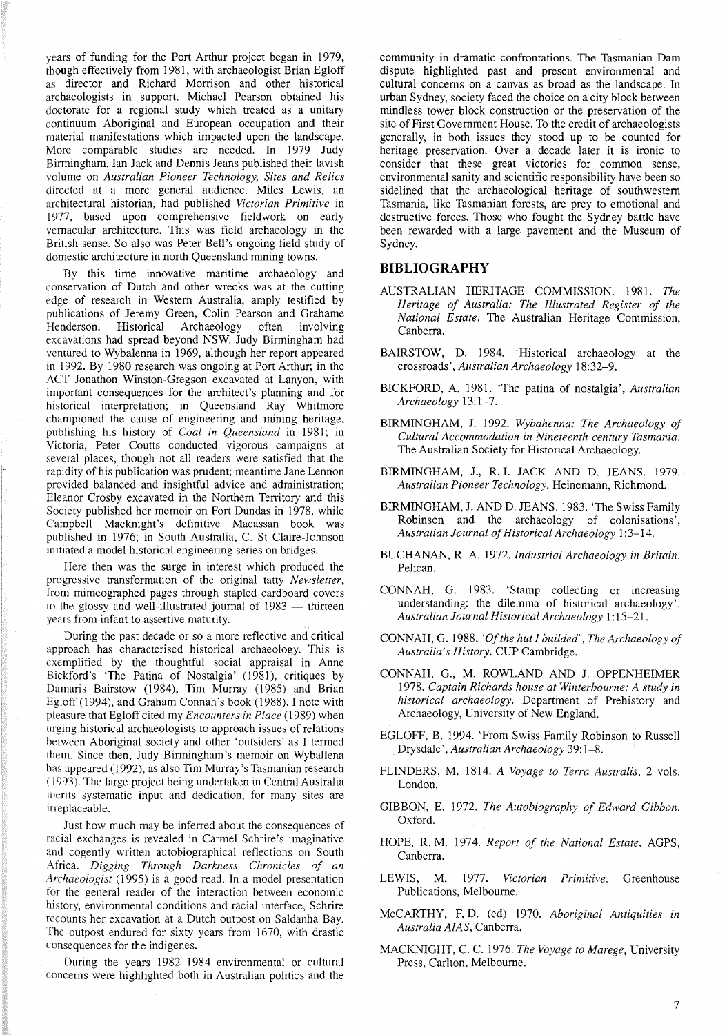years of funding for the Port Arthur project began in 1979, though effectively from 1981, with archaeologist Brian Egloff as director and Richard Morrison and other historical archaeologists in support. Michael Pearson obtained his doctorate for a regional study which treated as a unitary continuum Aboriginal and European occupation and their material manifestations which impacted upon the landscape. More comparable studies are needed. In 1979 Judy Birmingham, Ian Jack and Dennis Jeans published their lavish volume on *Australian Pioneer Technology, Sites and Relics* directed at a more general audience. Miles Lewis, an architectural historian, had published *Victorian Primitive* in 1977, based upon comprehensive fieldwork on early vernacular architecture. This was field archaeology in the British sense. So also was Peter Bell's ongoing field study of domestic architecture in north Queensland mining towns.

By this time innovative maritime archaeology and conservation of Dutch and other wrecks was at the cutting edge of research in Western Australia, amply testified by publications of Jeremy Green, Colin Pearson and Grahame<br>Henderson. Historical Archaeology often involving Archaeology often involving excavations had spread beyond NSW. Judy Birmingham had ventured to Wybalenna in 1969, although her report appeared in 1992. By 1980 research was ongoing at Port Arthur; in the ACT Jonathon Winston-Gregson excavated at Lanyon, with important consequences for the architect's planning and for historical interpretation; in Queensland Ray Whitmore championed the cause of engineering and mining heritage, publishing his history of *Coal in Queensland* in 1981; in Victoria, Peter Coutts conducted vigorous campaigns at several places, though not all readers were satisfied that the rapidity of his publication was prudent; meantime Jane Lennon provided balanced and insightful advice and administration; Eleanor Crosby excavated in the Northern Territory and this Society published her memoir on Fort Dundas in 1978, while Campbell Macknight's definitive Macassan book was published in 1976; in South Australia, C. St Claire-Johnson initiated a model historical engineering series on bridges.

Here then was the surge in interest which produced the progressive transformation of the original tatty *Newsletter,* from mimeographed pages through stapled cardboard covers to the glossy and well-illustrated journal of 1983 - thirteen years from infant to assertive maturity.

During the past decade or so a more reflective and critical approach has characterised historical archaeology. This is exemplified by the thoughtful social appraisal in Anne Bickford's 'The Patina of Nostalgia' (1981), critiques by Damaris Bairstow (1984), Tim Murray (1985) and Brian Egloff (1994), and Graham Connah's book (1988). I note with pleasure that Egloff cited my *Encounters in Place* (1989) when urging historical archaeologists to approach issues of relations between Aboriginal society and other 'outsiders' as I termed them. Since then, Judy Birmingham's memoir on Wyballena has appeared (1992), as also Tim Murray's Tasmanian research (1993). The large project being undertaken in Central Australia merits systematic input and dedication, for many sites are irreplaceable.

Just how much may be inferred about the consequences of racial exchanges is revealed in Carmel Schrire's imaginative and cogently written autobiographical reflections on South Africa. *Digging Through Darkness Chronicles of an Archaeologist* (1995) is a good read. In a model presentation for the general reader of the interaction between economic history, environmental conditions and racial interface, Schrire recounts her excavation at a Dutch outpost on Saldanha Bay. The outpost endured for sixty years from 1670, with drastic consequences for the indigenes.

During the years 1982-1984 environmental or cultural concerns were highlighted both in Australian politics and the

community in dramatic confrontations. The Tasmanian Dam dispute highlighted past and present environmental and cultural concerns on a canvas as broad as the landscape. In urban Sydney, society faced the choice on a city block between mindless tower block construction or the preservation of the site of First Government House. To the credit of archaeologists generally, in both issues they stood up to be counted for heritage preservation. Over a decade later it is ironic to consider that these great victories for common sense, environmental sanity and scientific responsibility have been so sidelined that the archaeological heritage of southwestern Tasmania, like Tasmanian forests, are prey to emotional and destructive forces. Those who fought the Sydney battle have been rewarded with a large pavement and the Museum of Sydney.

## **BIBLIOGRAPHY**

- AUSTRALIAN HERITAGE COMMISSION. 1981. *The Heritage of Australia: The Illustrated Register of the National Estate.* The Australian Heritage Commission, Canberra.
- BAIRSTOW, D. 1984. 'Historical archaeology at the crossroads', *Australian Archaeology 18:32-9.*
- BICKFORD, A. 1981. 'The patina of nostalgia', *Australian Archaeology* 13: 1-7.
- BIRMINGHAM, J. 1992. *Wybahenna: The Archaeology of Cultural Accommodation in Nineteenth century Tasmania.* The Australian Society for Historical Archaeology.
- BIRMINGHAM, J., R. 1. JACK AND D. JEANS. 1979. *Australian Pioneer Technology.* Heinemann, Richmond.
- BIRMINGHAM, J. AND D. JEANS. 1983. 'The Swiss Family Robinson and the archaeology of colonisations', *Australian Journal ofHistorical Archaeology* 1:3-14.
- BUCHANAN, R. A. 1972. *Industrial Archaeology in Britain.* Pelican.
- CONNAH, G. 1983. 'Stamp collecting or increasing understanding: the dilemma of historical archaeology'. *Australian Journal Historical Archaeology* I: 15-21.
- CONNAH, G. 1988. *'Ofthe hut I builded', The Archaeology of Australia's History.* CUP Cambridge.
- CONNAH, G., M. ROWLAND AND J. OPPENHEIMER *1978. Captain Richards house at Winterbourne: A study in historical archaeology.* Department of Prehistory and Archaeology, University of New England.
- EGLOFF, B. 1994. 'From Swiss Family Robinson to Russell Drysdale', *Australian Archaeology* 39: 1-8.
- FLINDERS, M. 1814. *A Voyage to Terra Australis,* 2 vols. London.
- GIBBON, E. 1972. *The Autobiography of Edward Gibbon.* Oxford.
- HOPE, R. M. 1974. *Report of the National Estate.* AGPS, Canberra.
- LEWIS, M. 1977. *Victorian Primitive.* Greenhouse Publications, Melbourne.
- McCARTHY, F. D. (ed) 1970. *Aboriginal Antiquities in Australia AlAS,* Canberra.
- MACKNIGHT, C. C. 1976. *The Voyage to Marege,* University Press, Carlton, Melbourne.